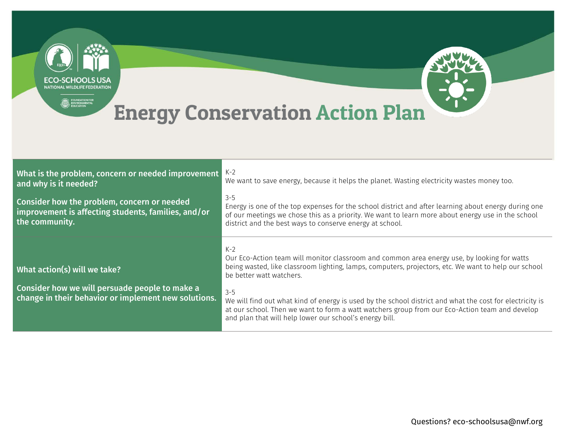

| What is the problem, concern or needed improvement<br>and why is it needed?                                          | $K-2$<br>We want to save energy, because it helps the planet. Wasting electricity wastes money too.                                                                                                                                                                              |
|----------------------------------------------------------------------------------------------------------------------|----------------------------------------------------------------------------------------------------------------------------------------------------------------------------------------------------------------------------------------------------------------------------------|
| Consider how the problem, concern or needed<br>improvement is affecting students, families, and/or<br>the community. | $3 - 5$<br>Energy is one of the top expenses for the school district and after learning about energy during one<br>of our meetings we chose this as a priority. We want to learn more about energy use in the school<br>district and the best ways to conserve energy at school. |
| What action(s) will we take?                                                                                         | $K-2$<br>Our Eco-Action team will monitor classroom and common area energy use, by looking for watts<br>being wasted, like classroom lighting, lamps, computers, projectors, etc. We want to help our school<br>be better watt watchers.                                         |
| Consider how we will persuade people to make a<br>change in their behavior or implement new solutions.               | $3 - 5$<br>We will find out what kind of energy is used by the school district and what the cost for electricity is<br>at our school. Then we want to form a watt watchers group from our Eco-Action team and develop<br>and plan that will help lower our school's energy bill. |